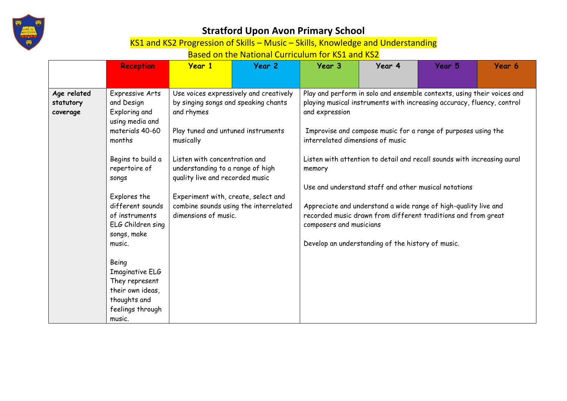

KS1 and KS2 Progression of Skills – Music – Skills, Knowledge and Understanding

| Expressive Arts<br>Play and perform in solo and ensemble contexts, using their voices and<br>Use voices expressively and creatively<br>Age related<br>playing musical instruments with increasing accuracy, fluency, control<br>by singing songs and speaking chants<br>and Design<br>statutory<br>Exploring and<br>and expression<br>and rhymes<br>coverage<br>using media and<br>materials 40-60<br>Play tuned and untuned instruments<br>Improvise and compose music for a range of purposes using the<br>interrelated dimensions of music<br>months<br>musically<br>Begins to build a<br>Listen with concentration and<br>Listen with attention to detail and recall sounds with increasing aural<br>understanding to a range of high<br>repertoire of<br>memory<br>quality live and recorded music<br>songs<br>Use and understand staff and other musical notations<br>Experiment with, create, select and<br>Explores the | <b>Reception</b> | <b>Year 1</b> | Year 2 | Year 3 | Year 4 | Year 5 | Year 6 |
|---------------------------------------------------------------------------------------------------------------------------------------------------------------------------------------------------------------------------------------------------------------------------------------------------------------------------------------------------------------------------------------------------------------------------------------------------------------------------------------------------------------------------------------------------------------------------------------------------------------------------------------------------------------------------------------------------------------------------------------------------------------------------------------------------------------------------------------------------------------------------------------------------------------------------------|------------------|---------------|--------|--------|--------|--------|--------|
| different sounds<br>combine sounds using the interrelated<br>Appreciate and understand a wide range of high-quality live and<br>dimensions of music.<br>recorded music drawn from different traditions and from great<br>of instruments<br>ELG Children sing<br>composers and musicians<br>songs, make<br>Develop an understanding of the history of music.<br>music.<br>Being<br>Imaginative ELG<br>They represent<br>their own ideas,<br>thoughts and<br>feelings through                                                                                                                                                                                                                                                                                                                                                                                                                                                     |                  |               |        |        |        |        |        |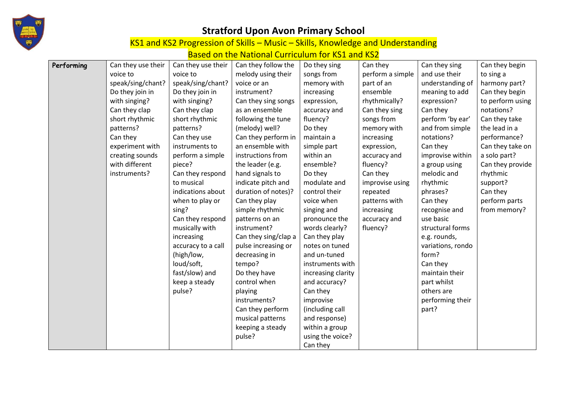

KS1 and KS2 Progression of Skills – Music – Skills, Knowledge and Understanding

| Performing | Can they use their | Can they use their | Can they follow the  | Do they sing       | Can they         | Can they sing     | Can they begin   |
|------------|--------------------|--------------------|----------------------|--------------------|------------------|-------------------|------------------|
|            | voice to           | voice to           | melody using their   | songs from         | perform a simple | and use their     | to sing a        |
|            | speak/sing/chant?  | speak/sing/chant?  | voice or an          | memory with        | part of an       | understanding of  | harmony part?    |
|            | Do they join in    | Do they join in    | instrument?          | increasing         | ensemble         | meaning to add    | Can they begin   |
|            | with singing?      | with singing?      | Can they sing songs  | expression,        | rhythmically?    | expression?       | to perform using |
|            | Can they clap      | Can they clap      | as an ensemble       | accuracy and       | Can they sing    | Can they          | notations?       |
|            | short rhythmic     | short rhythmic     | following the tune   | fluency?           | songs from       | perform 'by ear'  | Can they take    |
|            | patterns?          | patterns?          | (melody) well?       | Do they            | memory with      | and from simple   | the lead in a    |
|            | Can they           | Can they use       | Can they perform in  | maintain a         | increasing       | notations?        | performance?     |
|            | experiment with    | instruments to     | an ensemble with     | simple part        | expression,      | Can they          | Can they take on |
|            | creating sounds    | perform a simple   | instructions from    | within an          | accuracy and     | improvise within  | a solo part?     |
|            | with different     | piece?             | the leader (e.g.     | ensemble?          | fluency?         | a group using     | Can they provide |
|            | instruments?       | Can they respond   | hand signals to      | Do they            | Can they         | melodic and       | rhythmic         |
|            |                    | to musical         | indicate pitch and   | modulate and       | improvise using  | rhythmic          | support?         |
|            |                    | indications about  | duration of notes)?  | control their      | repeated         | phrases?          | Can they         |
|            |                    | when to play or    | Can they play        | voice when         | patterns with    | Can they          | perform parts    |
|            |                    | sing?              | simple rhythmic      | singing and        | increasing       | recognise and     | from memory?     |
|            |                    | Can they respond   | patterns on an       | pronounce the      | accuracy and     | use basic         |                  |
|            |                    | musically with     | instrument?          | words clearly?     | fluency?         | structural forms  |                  |
|            |                    | increasing         | Can they sing/clap a | Can they play      |                  | e.g. rounds,      |                  |
|            |                    | accuracy to a call | pulse increasing or  | notes on tuned     |                  | variations, rondo |                  |
|            |                    | (high/low,         | decreasing in        | and un-tuned       |                  | form?             |                  |
|            |                    | loud/soft,         | tempo?               | instruments with   |                  | Can they          |                  |
|            |                    | fast/slow) and     | Do they have         | increasing clarity |                  | maintain their    |                  |
|            |                    | keep a steady      | control when         | and accuracy?      |                  | part whilst       |                  |
|            |                    | pulse?             | playing              | Can they           |                  | others are        |                  |
|            |                    |                    | instruments?         | improvise          |                  | performing their  |                  |
|            |                    |                    | Can they perform     | (including call    |                  | part?             |                  |
|            |                    |                    | musical patterns     | and response)      |                  |                   |                  |
|            |                    |                    | keeping a steady     | within a group     |                  |                   |                  |
|            |                    |                    | pulse?               | using the voice?   |                  |                   |                  |
|            |                    |                    |                      | Can they           |                  |                   |                  |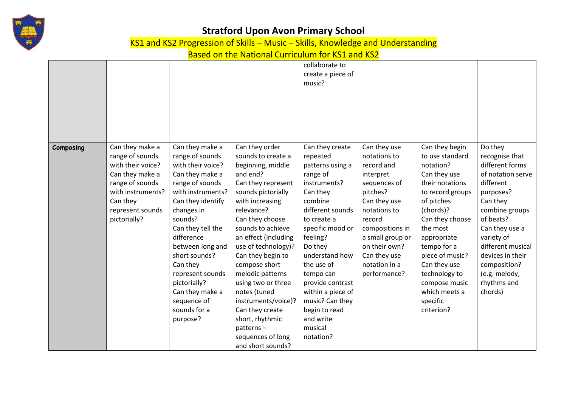

KS1 and KS2 Progression of Skills – Music – Skills, Knowledge and Understanding

|           |                   |                   |                      | collaborate to<br>create a piece of |                  |                  |                   |
|-----------|-------------------|-------------------|----------------------|-------------------------------------|------------------|------------------|-------------------|
|           |                   |                   |                      | music?                              |                  |                  |                   |
|           |                   |                   |                      |                                     |                  |                  |                   |
|           |                   |                   |                      |                                     |                  |                  |                   |
|           |                   |                   |                      |                                     |                  |                  |                   |
|           |                   |                   |                      |                                     |                  |                  |                   |
| Composing | Can they make a   | Can they make a   | Can they order       | Can they create                     | Can they use     | Can they begin   | Do they           |
|           | range of sounds   | range of sounds   | sounds to create a   | repeated                            | notations to     | to use standard  | recognise that    |
|           | with their voice? | with their voice? | beginning, middle    | patterns using a                    | record and       | notation?        | different forms   |
|           | Can they make a   | Can they make a   | and end?             | range of                            | interpret        | Can they use     | of notation serve |
|           | range of sounds   | range of sounds   | Can they represent   | instruments?                        | sequences of     | their notations  | different         |
|           | with instruments? | with instruments? | sounds pictorially   | Can they                            | pitches?         | to record groups | purposes?         |
|           | Can they          | Can they identify | with increasing      | combine                             | Can they use     | of pitches       | Can they          |
|           | represent sounds  | changes in        | relevance?           | different sounds                    | notations to     | (chords)?        | combine groups    |
|           | pictorially?      | sounds?           | Can they choose      | to create a                         | record           | Can they choose  | of beats?         |
|           |                   | Can they tell the | sounds to achieve    | specific mood or                    | compositions in  | the most         | Can they use a    |
|           |                   | difference        | an effect (including | feeling?                            | a small group or | appropriate      | variety of        |
|           |                   | between long and  | use of technology)?  | Do they                             | on their own?    | tempo for a      | different musical |
|           |                   | short sounds?     | Can they begin to    | understand how                      | Can they use     | piece of music?  | devices in their  |
|           |                   | Can they          | compose short        | the use of                          | notation in a    | Can they use     | composition?      |
|           |                   | represent sounds  | melodic patterns     | tempo can                           | performance?     | technology to    | (e.g. melody,     |
|           |                   | pictorially?      | using two or three   | provide contrast                    |                  | compose music    | rhythms and       |
|           |                   | Can they make a   | notes (tuned         | within a piece of                   |                  | which meets a    | chords)           |
|           |                   | sequence of       | instruments/voice)?  | music? Can they                     |                  | specific         |                   |
|           |                   | sounds for a      | Can they create      | begin to read                       |                  | criterion?       |                   |
|           |                   | purpose?          | short, rhythmic      | and write                           |                  |                  |                   |
|           |                   |                   | patterns-            | musical                             |                  |                  |                   |
|           |                   |                   | sequences of long    | notation?                           |                  |                  |                   |
|           |                   |                   | and short sounds?    |                                     |                  |                  |                   |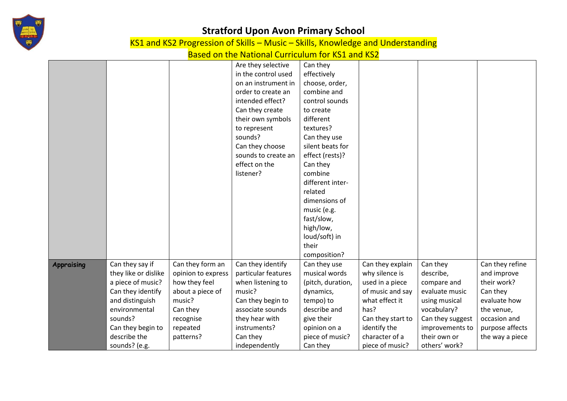

KS1 and KS2 Progression of Skills – Music – Skills, Knowledge and Understanding

|                   |                      |                    | Are they selective  | Can they          |                   |                  |                 |
|-------------------|----------------------|--------------------|---------------------|-------------------|-------------------|------------------|-----------------|
|                   |                      |                    | in the control used | effectively       |                   |                  |                 |
|                   |                      |                    | on an instrument in | choose, order,    |                   |                  |                 |
|                   |                      |                    | order to create an  | combine and       |                   |                  |                 |
|                   |                      |                    | intended effect?    | control sounds    |                   |                  |                 |
|                   |                      |                    | Can they create     | to create         |                   |                  |                 |
|                   |                      |                    | their own symbols   | different         |                   |                  |                 |
|                   |                      |                    | to represent        | textures?         |                   |                  |                 |
|                   |                      |                    | sounds?             | Can they use      |                   |                  |                 |
|                   |                      |                    | Can they choose     | silent beats for  |                   |                  |                 |
|                   |                      |                    | sounds to create an | effect (rests)?   |                   |                  |                 |
|                   |                      |                    | effect on the       | Can they          |                   |                  |                 |
|                   |                      |                    | listener?           | combine           |                   |                  |                 |
|                   |                      |                    |                     | different inter-  |                   |                  |                 |
|                   |                      |                    |                     | related           |                   |                  |                 |
|                   |                      |                    |                     | dimensions of     |                   |                  |                 |
|                   |                      |                    |                     | music (e.g.       |                   |                  |                 |
|                   |                      |                    |                     | fast/slow,        |                   |                  |                 |
|                   |                      |                    |                     | high/low,         |                   |                  |                 |
|                   |                      |                    |                     | loud/soft) in     |                   |                  |                 |
|                   |                      |                    |                     | their             |                   |                  |                 |
|                   |                      |                    |                     | composition?      |                   |                  |                 |
| <b>Appraising</b> | Can they say if      | Can they form an   | Can they identify   | Can they use      | Can they explain  | Can they         | Can they refine |
|                   | they like or dislike | opinion to express | particular features | musical words     | why silence is    | describe,        | and improve     |
|                   | a piece of music?    | how they feel      | when listening to   | (pitch, duration, | used in a piece   | compare and      | their work?     |
|                   | Can they identify    | about a piece of   | music?              | dynamics,         | of music and say  | evaluate music   | Can they        |
|                   | and distinguish      | music?             | Can they begin to   | tempo) to         | what effect it    | using musical    | evaluate how    |
|                   | environmental        | Can they           | associate sounds    | describe and      | has?              | vocabulary?      | the venue,      |
|                   | sounds?              | recognise          | they hear with      | give their        | Can they start to | Can they suggest | occasion and    |
|                   | Can they begin to    | repeated           | instruments?        | opinion on a      | identify the      | improvements to  | purpose affects |
|                   | describe the         | patterns?          | Can they            | piece of music?   | character of a    | their own or     | the way a piece |
|                   | sounds? (e.g.        |                    | independently       | Can they          | piece of music?   | others' work?    |                 |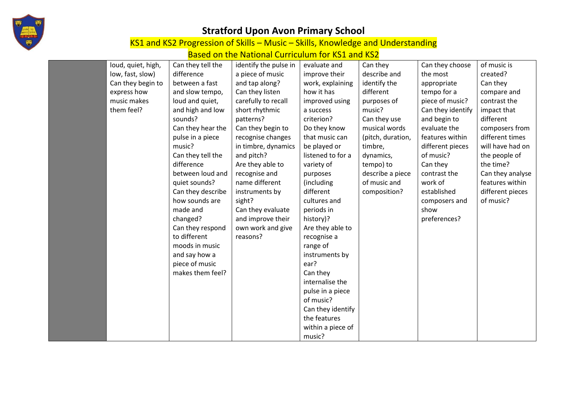

KS1 and KS2 Progression of Skills – Music – Skills, Knowledge and Understanding

| loud, quiet, high, | Can they tell the | identify the pulse in | evaluate and      | Can they          | Can they choose   | of music is      |
|--------------------|-------------------|-----------------------|-------------------|-------------------|-------------------|------------------|
| low, fast, slow)   | difference        | a piece of music      | improve their     | describe and      | the most          | created?         |
| Can they begin to  | between a fast    | and tap along?        | work, explaining  | identify the      | appropriate       | Can they         |
| express how        | and slow tempo,   | Can they listen       | how it has        | different         | tempo for a       | compare and      |
| music makes        | loud and quiet,   | carefully to recall   | improved using    | purposes of       | piece of music?   | contrast the     |
| them feel?         | and high and low  | short rhythmic        | a success         | music?            | Can they identify | impact that      |
|                    | sounds?           | patterns?             | criterion?        | Can they use      | and begin to      | different        |
|                    | Can they hear the | Can they begin to     | Do they know      | musical words     | evaluate the      | composers from   |
|                    | pulse in a piece  | recognise changes     | that music can    | (pitch, duration, | features within   | different times  |
|                    | music?            | in timbre, dynamics   | be played or      | timbre,           | different pieces  | will have had on |
|                    | Can they tell the | and pitch?            | listened to for a | dynamics,         | of music?         | the people of    |
|                    | difference        | Are they able to      | variety of        | tempo) to         | Can they          | the time?        |
|                    | between loud and  | recognise and         | purposes          | describe a piece  | contrast the      | Can they analyse |
|                    | quiet sounds?     | name different        | (including        | of music and      | work of           | features within  |
|                    | Can they describe | instruments by        | different         | composition?      | established       | different pieces |
|                    | how sounds are    | sight?                | cultures and      |                   | composers and     | of music?        |
|                    | made and          | Can they evaluate     | periods in        |                   | show              |                  |
|                    | changed?          | and improve their     | history)?         |                   | preferences?      |                  |
|                    | Can they respond  | own work and give     | Are they able to  |                   |                   |                  |
|                    | to different      | reasons?              | recognise a       |                   |                   |                  |
|                    | moods in music    |                       | range of          |                   |                   |                  |
|                    | and say how a     |                       | instruments by    |                   |                   |                  |
|                    | piece of music    |                       | ear?              |                   |                   |                  |
|                    | makes them feel?  |                       | Can they          |                   |                   |                  |
|                    |                   |                       | internalise the   |                   |                   |                  |
|                    |                   |                       | pulse in a piece  |                   |                   |                  |
|                    |                   |                       | of music?         |                   |                   |                  |
|                    |                   |                       | Can they identify |                   |                   |                  |
|                    |                   |                       | the features      |                   |                   |                  |
|                    |                   |                       | within a piece of |                   |                   |                  |
|                    |                   |                       | music?            |                   |                   |                  |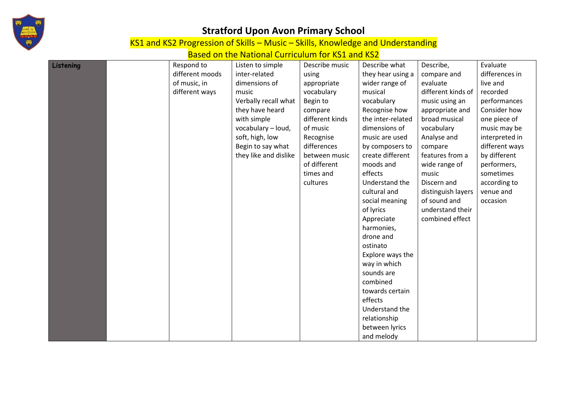

KS1 and KS2 Progression of Skills – Music – Skills, Knowledge and Understanding

| Listening | Respond to      | Listen to simple      | Describe music  | Describe what     | Describe,          | Evaluate       |
|-----------|-----------------|-----------------------|-----------------|-------------------|--------------------|----------------|
|           | different moods | inter-related         | using           | they hear using a | compare and        | differences in |
|           | of music, in    | dimensions of         | appropriate     | wider range of    | evaluate           | live and       |
|           | different ways  | music                 | vocabulary      | musical           | different kinds of | recorded       |
|           |                 | Verbally recall what  | Begin to        | vocabulary        | music using an     | performances   |
|           |                 | they have heard       | compare         | Recognise how     | appropriate and    | Consider how   |
|           |                 | with simple           | different kinds | the inter-related | broad musical      | one piece of   |
|           |                 | vocabulary - loud,    | of music        | dimensions of     | vocabulary         | music may be   |
|           |                 | soft, high, low       | Recognise       | music are used    | Analyse and        | interpreted in |
|           |                 | Begin to say what     | differences     | by composers to   | compare            | different ways |
|           |                 | they like and dislike | between music   | create different  | features from a    | by different   |
|           |                 |                       | of different    | moods and         | wide range of      | performers,    |
|           |                 |                       | times and       | effects           | music              | sometimes      |
|           |                 |                       | cultures        | Understand the    | Discern and        | according to   |
|           |                 |                       |                 | cultural and      | distinguish layers | venue and      |
|           |                 |                       |                 | social meaning    | of sound and       | occasion       |
|           |                 |                       |                 | of lyrics         | understand their   |                |
|           |                 |                       |                 | Appreciate        | combined effect    |                |
|           |                 |                       |                 | harmonies,        |                    |                |
|           |                 |                       |                 | drone and         |                    |                |
|           |                 |                       |                 | ostinato          |                    |                |
|           |                 |                       |                 | Explore ways the  |                    |                |
|           |                 |                       |                 | way in which      |                    |                |
|           |                 |                       |                 | sounds are        |                    |                |
|           |                 |                       |                 | combined          |                    |                |
|           |                 |                       |                 | towards certain   |                    |                |
|           |                 |                       |                 | effects           |                    |                |
|           |                 |                       |                 | Understand the    |                    |                |
|           |                 |                       |                 | relationship      |                    |                |
|           |                 |                       |                 | between lyrics    |                    |                |
|           |                 |                       |                 | and melody        |                    |                |